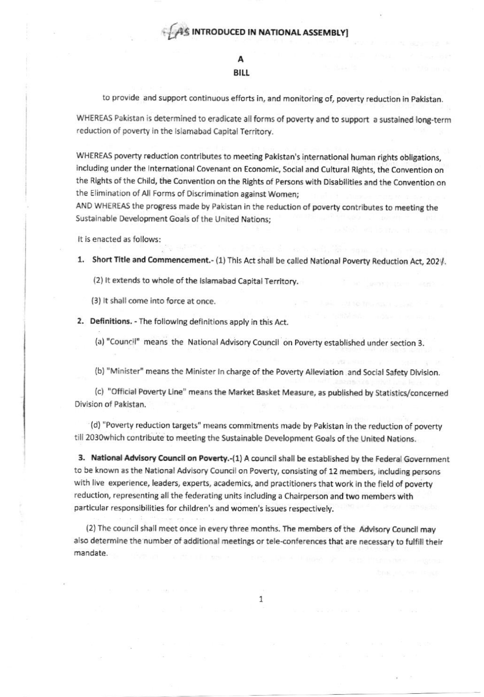## A **BILL**

to provide and support continuous efforts in, and monitoring of, poverty reduction in Pakistan.

WHEREAS Pakistan is determined to eradicate all forms of poverty and to support a sustained long-term reduction of poverty in the Islamabad Capital Territory.

WHEREAS poverty reduction contributes to meeting Pakistan's international human rights obligations, including under the International Covenant on Economic, Social and Cultural Rights, the Convention on the Rights of the Child, the Convention on the Rights of Persons with Disabilities and the Convention on the Elimination of All Forms of Discrimination against Women;

AND WHEREAS the progress made by Pakistan in the reduction of poverty contributes to meeting the Sustainable Development Goals of the United Nations:

It is enacted as follows:

1. Short Title and Commencement.- (1) This Act shall be called National Poverty Reduction Act, 2024.

(2) It extends to whole of the Islamabad Capital Territory.

(3) It shall come into force at once.

2. Definitions. - The following definitions apply in this Act.

(a) "Council" means the National Advisory Council on Poverty established under section 3.

(b) "Minister" means the Minister In charge of the Poverty Alleviation and Social Safety Division.

(c) "Official Poverty Line" means the Market Basket Measure, as published by Statistics/concerned Division of Pakistan.

(d) "Poverty reduction targets" means commitments made by Pakistan in the reduction of poverty till 2030which contribute to meeting the Sustainable Development Goals of the United Nations.

3. National Advisory Council on Poverty.-(1) A council shall be established by the Federal Government to be known as the National Advisory Council on Poverty, consisting of 12 members, including persons with live experience, leaders, experts, academics, and practitioners that work in the field of poverty reduction, representing all the federating units including a Chairperson and two members with particular responsibilities for children's and women's issues respectively.

(2) The council shall meet once in every three months. The members of the Advisory Council may also determine the number of additional meetings or tele-conferences that are necessary to fulfill their mandate.

1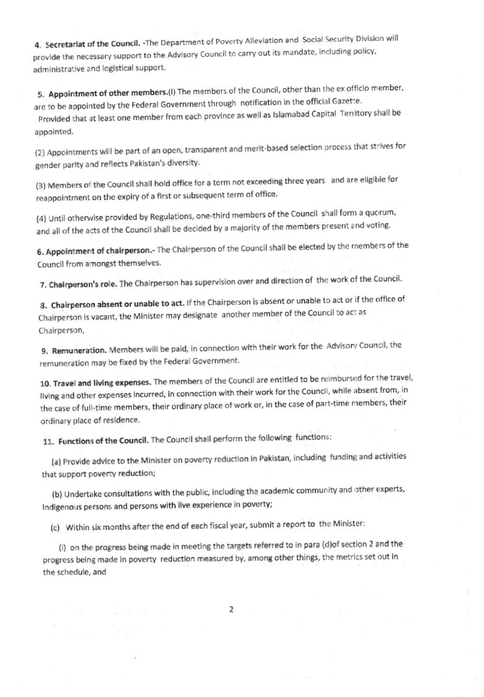4. Secretariat of the Council. - The Department of Poverty Alleviation and Social Security Division will provide the necessary support to the Advisory Council to carry out its mandate, including policy, administrative and logistical support.

5. Appointment of other members.(I) The members of the Council, other than the ex officio member, are to be appointed by the Federal Government through notification in the official Gazette. Provided that at least one member from each province as well as Islamabad Capital Territory shall be appointed.

(2) Appointments will be part of an open, transparent and merit-based selection process that strives for gender parity and reflects Pakistan's diversity.

(3) Members of the Council shall hold office for a term not exceeding three years and are eligible for reappointment on the expiry of a first or subsequent term of office.

(4) Until otherwise provided by Regulations, one-third members of the Council shall form a quorum, and all of the acts of the Council shall be decided by a majority of the members present and voting.

6. Appointment of chairperson.- The Chairperson of the Council shall be elected by the members of the Council from amongst themselves.

7. Chairperson's role. The Chairperson has supervision over and direction of the work of the Council.

8. Chairperson absent or unable to act. If the Chairperson is absent or unable to act or if the office of Chairperson is vacant, the Minister may designate another member of the Council to act as Chairperson,

9. Remuneration. Members will be paid, in connection with their work for the Advisory Council, the remuneration may be fixed by the Federal Government.

10. Travel and living expenses. The members of the Council are entitled to be reimbursed for the travel, living and other expenses incurred, in connection with their work for the Council, while absent from, in the case of full-time members, their ordinary place of work or, in the case of part-time members, their ordinary place of residence.

11. Functions of the Council. The Council shall perform the following functions:

its in a little

(a) Provide advice to the Minister on poverty reduction in Pakistan, including funding and activities that support poverty reduction;

(b) Undertake consultations with the public, including the academic community and other experts, Indigenous persons and persons with live experience in poverty;

(c) Within six months after the end of each fiscal year, submit a report to the Minister:

(i) on the progress being made in meeting the targets referred to in para (d)of section 2 and the progress being made in poverty reduction measured by, among other things, the metrics set out in the schedule, and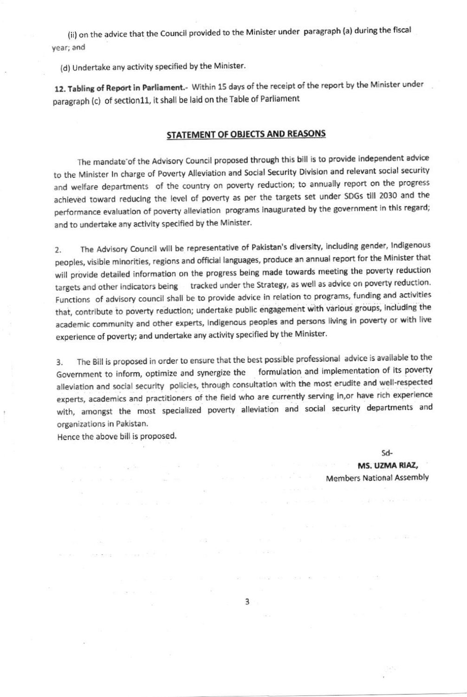(ii) on the advice that the Council provided to the Minister under paragraph (a) during the fiscal year; and

(d) Undertake any activity specified by the Minister.

12. Tabling of Report in Parliament.- Within 15 days of the receipt of the report by the Minister under paragraph (c) of section11, it shall be laid on the Table of Parliament

## STATEMENT OF OBJECTS AND REASONS

The mandate of the Advisory Council proposed through this bill is to provide independent advice to the Minister In charge of Poverty Alleviation and Social Security Division and relevant social security and welfare departments of the country on poverty reduction; to annually report on the progress achieved toward reducing the level of poverty as per the targets set under SDGs till 2030 and the performance evaluation of poverty alleviation programs inaugurated by the government in this regard; and to undertake any activity specified by the Minister.

The Advisory Council will be representative of Pakistan's diversity, including gender, Indigenous  $2.$ peoples, visible minorities, regions and official languages, produce an annual report for the Minister that will provide detailed information on the progress being made towards meeting the poverty reduction targets and other indicators being tracked under the Strategy, as well as advice on poverty reduction. Functions of advisory council shall be to provide advice in relation to programs, funding and activities that, contribute to poverty reduction; undertake public engagement with various groups, including the academic community and other experts, Indigenous peoples and persons living in poverty or with live experience of poverty; and undertake any activity specified by the Minister.

The Bill is proposed in order to ensure that the best possible professional advice is available to the  $3.$ Government to inform, optimize and synergize the formulation and implementation of its poverty alleviation and social security policies, through consultation with the most erudite and well-respected experts, academics and practitioners of the field who are currently serving in, or have rich experience with, amongst the most specialized poverty alleviation and social security departments and organizations in Pakistan.

Hence the above bill is proposed.

man and the second

vid Bride

e an

 $Sd-$ 

MS. UZMA RIAZ, **Members National Assembly** 

 $3 -$ 

 $\sim 13$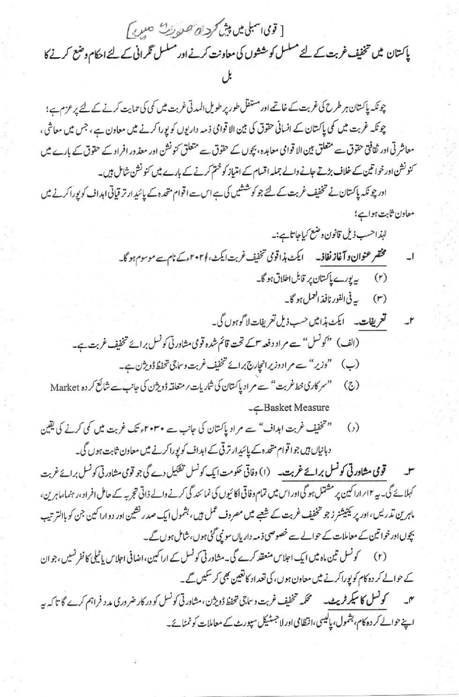[ تومی اسبلی میں پش کردان صورت حسن)

پاکستان میں تخفیف غربت کے لئے مسلسل کو ششوں کی معاونت کرنے اور مسلسل گرانی کے لئے احکام وضع کرنے کا

چونکہ پاکستان ہر طرح کی غربت کے خاتمے اور مستقل طور پر طویل المدتی غربت میں کمی کی حمایت کرنے کے لئے پر عزم ہے؛ چونکہ غربت میں کی پاکستان کے انسانی حقوق کی بین الا قوامی ذمہ دار یوں کو پورا کرنے میں معاون ہے ، جس میں معاشی ، معاشر تی اور ثقافق حقوق سے متعلق بین الا قوامی معاہدہ، بچوں کے حقوق سے متعلق کنونشن اور معذور افراد کے حقوق کے بارے میں کنونشن اور خواتین کے خلاف بڑتے جانے والے جملہ اقسام کے امتیاز کو ختم کرنے کے بارے میں کنونشن شامل ہیں۔

ادر چونکہ پاکستان نے تخفیف غربت کے لئے جو کوششیں کی ہے اس ہے اقوام متحدہ کے پائید ارتر قیاتی اہداف کو پوراکرنے میں معاون ثابت ہواہے؛

-Basket Measure

" تخفیف غربت اہداف" سے مراد پاکتان کی جانب سے ۲۰۳۰ء تک غربت میں کمی کرنے کی یقین  $\epsilon$ دہانیاں ہیں جوا توام متحدہ کے پائیدارتر تی کے اہداف کویوراکرنے میں معاون ثابت ہوں گی۔

سو قومی مشاورتی کونسل برائے غربت۔ (۱) وفاقی حکومت ایک کونسل تفکیل دے گی جو توی مشاورتی کونسل برائے غربت کہلائے گی۔ یہ ۱۲؍اراکین پر مشتمل ہو گی اور اس میں تمام دفاتی اکائیوں کی نمائند گی کرنے والے ذاتی تجربہ کے حامل افراد ،رہنما،ماہرین، ماہرین تدریس،اور پر پکٹیشنر زجو تخفیف غربت کے شیعے میں مصروف عمل ہیں، بشمول ایک صدر نشین اور دوارا کین جن کو باالتر تب بچوں اور خواتین کے معاملات کے حوالے سے خصوصی ذمہ دار ہاں سو نبی گئی ہوں،شامل ہوں گے۔

(۲) گونسل تین ماہ میں ایک اجلاس منعقد کرے گی۔مشاورتی کونسل کے اراکین،اضافی اجلاس پاٹیلی کا نفرنسیں ،جو ان کے حوالے کر دہ کام کو پوراکرنے میں معاون ہوں، کی تعداد کانغین بھی کر سکیں گے۔ میں سے کو**نسل کا سیکرٹر پیٹ۔** سمحکمہ خخفیف غربت و ساجی <del>خخط ڈویژ</del>ن،مشاورتی کونسل کو درکار ضروری مد د فراہم کرے گا تاکہ ہے اپنے حوالے کر دہ کام، بشمول، پالیسی،انظامی اور لا جسٹیکل سپورٹ کے معاملات کو نمٹائے۔